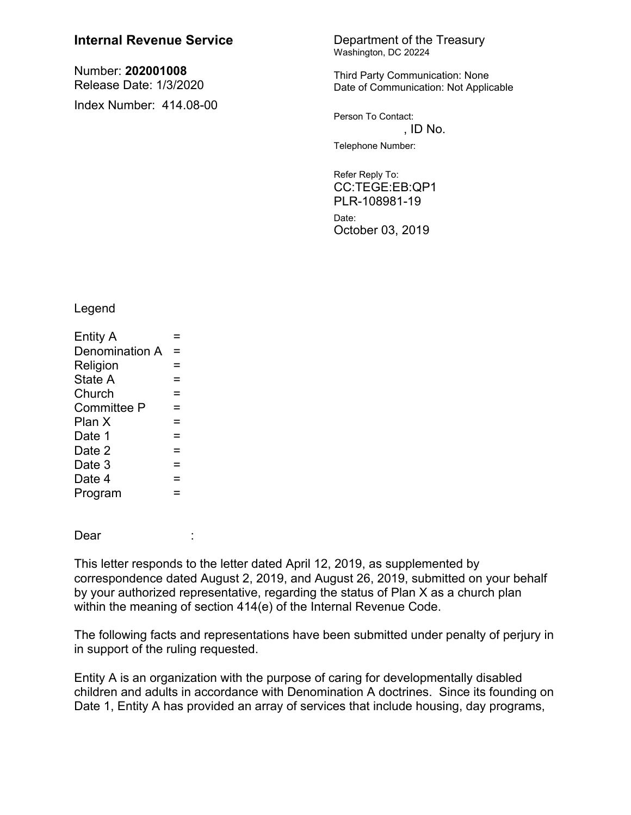## **Internal Revenue Service** Department of the Treasury

Number: **202001008** Release Date: 1/3/2020 Index Number: 414.08-00

## Washington, DC 20224

Third Party Communication: None Date of Communication: Not Applicable

Person To Contact:  $\Box$  ID No. Telephone Number:

Refer Reply To: CC:TEGE:EB:QP1 PLR-108981-19 Date: October 03, 2019

Legend

| <b>Entity A</b>    |   |  |  |
|--------------------|---|--|--|
| Denomination A =   |   |  |  |
| Religion           | = |  |  |
| State A            |   |  |  |
| Church             |   |  |  |
| <b>Committee P</b> |   |  |  |
| Plan X             | = |  |  |
| Date 1             | = |  |  |
| Date 2             | = |  |  |
| Date 3             | = |  |  |
| Date 4             |   |  |  |
| Program            |   |  |  |

Dear :

This letter responds to the letter dated April 12, 2019, as supplemented by correspondence dated August 2, 2019, and August 26, 2019, submitted on your behalf by your authorized representative, regarding the status of Plan X as a church plan within the meaning of section 414(e) of the Internal Revenue Code.

The following facts and representations have been submitted under penalty of perjury in in support of the ruling requested.

Entity A is an organization with the purpose of caring for developmentally disabled children and adults in accordance with Denomination A doctrines. Since its founding on Date 1, Entity A has provided an array of services that include housing, day programs,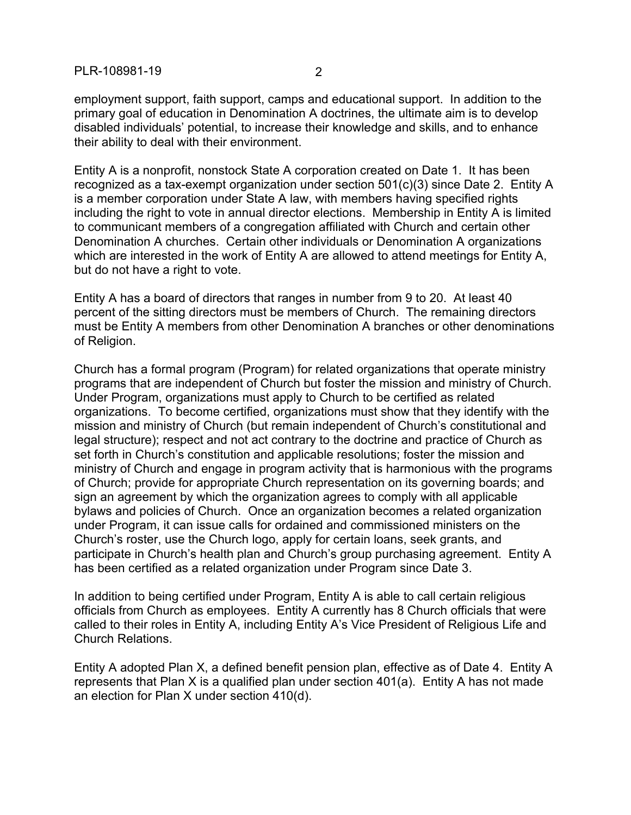employment support, faith support, camps and educational support. In addition to the primary goal of education in Denomination A doctrines, the ultimate aim is to develop disabled individuals' potential, to increase their knowledge and skills, and to enhance their ability to deal with their environment.

Entity A is a nonprofit, nonstock State A corporation created on Date 1. It has been recognized as a tax-exempt organization under section 501(c)(3) since Date 2. Entity A is a member corporation under State A law, with members having specified rights including the right to vote in annual director elections. Membership in Entity A is limited to communicant members of a congregation affiliated with Church and certain other Denomination A churches. Certain other individuals or Denomination A organizations which are interested in the work of Entity A are allowed to attend meetings for Entity A, but do not have a right to vote.

Entity A has a board of directors that ranges in number from 9 to 20. At least 40 percent of the sitting directors must be members of Church. The remaining directors must be Entity A members from other Denomination A branches or other denominations of Religion.

Church has a formal program (Program) for related organizations that operate ministry programs that are independent of Church but foster the mission and ministry of Church. Under Program, organizations must apply to Church to be certified as related organizations. To become certified, organizations must show that they identify with the mission and ministry of Church (but remain independent of Church's constitutional and legal structure); respect and not act contrary to the doctrine and practice of Church as set forth in Church's constitution and applicable resolutions; foster the mission and ministry of Church and engage in program activity that is harmonious with the programs of Church; provide for appropriate Church representation on its governing boards; and sign an agreement by which the organization agrees to comply with all applicable bylaws and policies of Church. Once an organization becomes a related organization under Program, it can issue calls for ordained and commissioned ministers on the Church's roster, use the Church logo, apply for certain loans, seek grants, and participate in Church's health plan and Church's group purchasing agreement. Entity A has been certified as a related organization under Program since Date 3.

In addition to being certified under Program, Entity A is able to call certain religious officials from Church as employees. Entity A currently has 8 Church officials that were called to their roles in Entity A, including Entity A's Vice President of Religious Life and Church Relations.

Entity A adopted Plan X, a defined benefit pension plan, effective as of Date 4. Entity A represents that Plan X is a qualified plan under section 401(a). Entity A has not made an election for Plan X under section 410(d).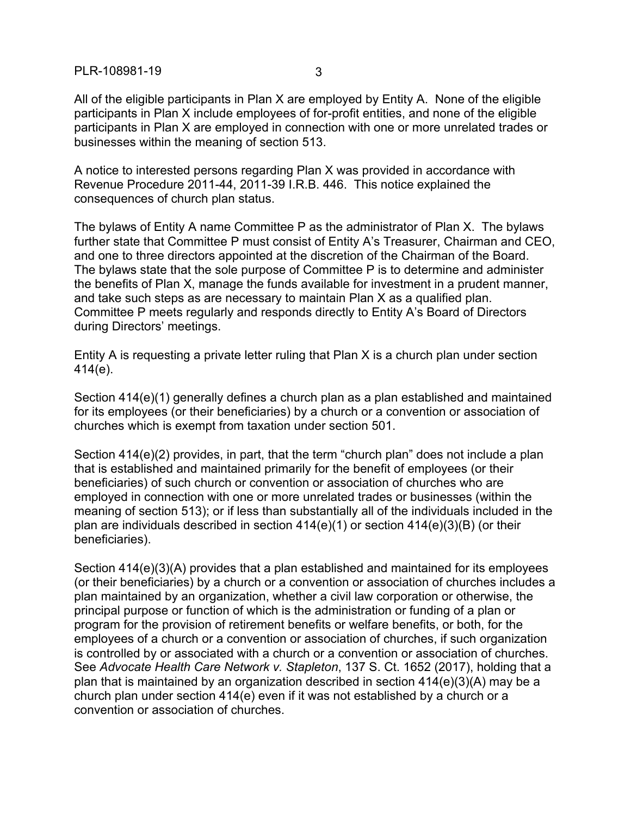PLR-108981-19 3

All of the eligible participants in Plan X are employed by Entity A. None of the eligible participants in Plan X include employees of for-profit entities, and none of the eligible participants in Plan X are employed in connection with one or more unrelated trades or businesses within the meaning of section 513.

A notice to interested persons regarding Plan X was provided in accordance with Revenue Procedure 2011-44, 2011-39 I.R.B. 446. This notice explained the consequences of church plan status.

The bylaws of Entity A name Committee P as the administrator of Plan X. The bylaws further state that Committee P must consist of Entity A's Treasurer, Chairman and CEO, and one to three directors appointed at the discretion of the Chairman of the Board. The bylaws state that the sole purpose of Committee P is to determine and administer the benefits of Plan X, manage the funds available for investment in a prudent manner, and take such steps as are necessary to maintain Plan X as a qualified plan. Committee P meets regularly and responds directly to Entity A's Board of Directors during Directors' meetings.

Entity A is requesting a private letter ruling that Plan X is a church plan under section 414(e).

Section 414(e)(1) generally defines a church plan as a plan established and maintained for its employees (or their beneficiaries) by a church or a convention or association of churches which is exempt from taxation under section 501.

Section 414(e)(2) provides, in part, that the term "church plan" does not include a plan that is established and maintained primarily for the benefit of employees (or their beneficiaries) of such church or convention or association of churches who are employed in connection with one or more unrelated trades or businesses (within the meaning of section 513); or if less than substantially all of the individuals included in the plan are individuals described in section  $414(e)(1)$  or section  $414(e)(3)(B)$  (or their beneficiaries).

Section 414(e)(3)(A) provides that a plan established and maintained for its employees (or their beneficiaries) by a church or a convention or association of churches includes a plan maintained by an organization, whether a civil law corporation or otherwise, the principal purpose or function of which is the administration or funding of a plan or program for the provision of retirement benefits or welfare benefits, or both, for the employees of a church or a convention or association of churches, if such organization is controlled by or associated with a church or a convention or association of churches. See *Advocate Health Care Network v. Stapleton*, 137 S. Ct. 1652 (2017), holding that a plan that is maintained by an organization described in section 414(e)(3)(A) may be a church plan under section 414(e) even if it was not established by a church or a convention or association of churches.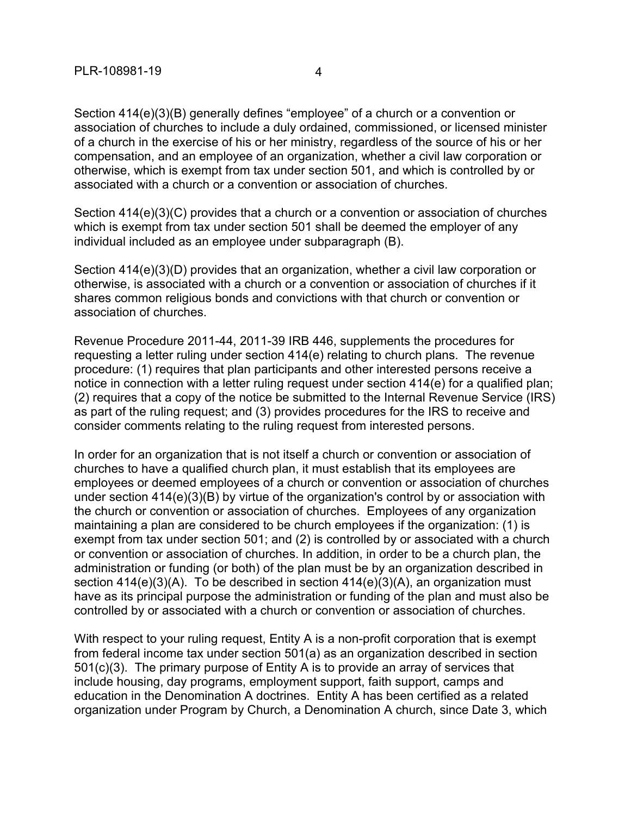Section 414(e)(3)(B) generally defines "employee" of a church or a convention or association of churches to include a duly ordained, commissioned, or licensed minister of a church in the exercise of his or her ministry, regardless of the source of his or her compensation, and an employee of an organization, whether a civil law corporation or otherwise, which is exempt from tax under section 501, and which is controlled by or associated with a church or a convention or association of churches.

Section 414(e)(3)(C) provides that a church or a convention or association of churches which is exempt from tax under section 501 shall be deemed the employer of any individual included as an employee under subparagraph (B).

Section 414(e)(3)(D) provides that an organization, whether a civil law corporation or otherwise, is associated with a church or a convention or association of churches if it shares common religious bonds and convictions with that church or convention or association of churches.

Revenue Procedure 2011-44, 2011-39 IRB 446, supplements the procedures for requesting a letter ruling under section 414(e) relating to church plans. The revenue procedure: (1) requires that plan participants and other interested persons receive a notice in connection with a letter ruling request under section 414(e) for a qualified plan; (2) requires that a copy of the notice be submitted to the Internal Revenue Service (IRS) as part of the ruling request; and (3) provides procedures for the IRS to receive and consider comments relating to the ruling request from interested persons.

In order for an organization that is not itself a church or convention or association of churches to have a qualified church plan, it must establish that its employees are employees or deemed employees of a church or convention or association of churches under section 414(e)(3)(B) by virtue of the organization's control by or association with the church or convention or association of churches. Employees of any organization maintaining a plan are considered to be church employees if the organization: (1) is exempt from tax under section 501; and (2) is controlled by or associated with a church or convention or association of churches. In addition, in order to be a church plan, the administration or funding (or both) of the plan must be by an organization described in section 414(e)(3)(A). To be described in section 414(e)(3)(A), an organization must have as its principal purpose the administration or funding of the plan and must also be controlled by or associated with a church or convention or association of churches.

With respect to your ruling request, Entity A is a non-profit corporation that is exempt from federal income tax under section 501(a) as an organization described in section 501(c)(3). The primary purpose of Entity A is to provide an array of services that include housing, day programs, employment support, faith support, camps and education in the Denomination A doctrines. Entity A has been certified as a related organization under Program by Church, a Denomination A church, since Date 3, which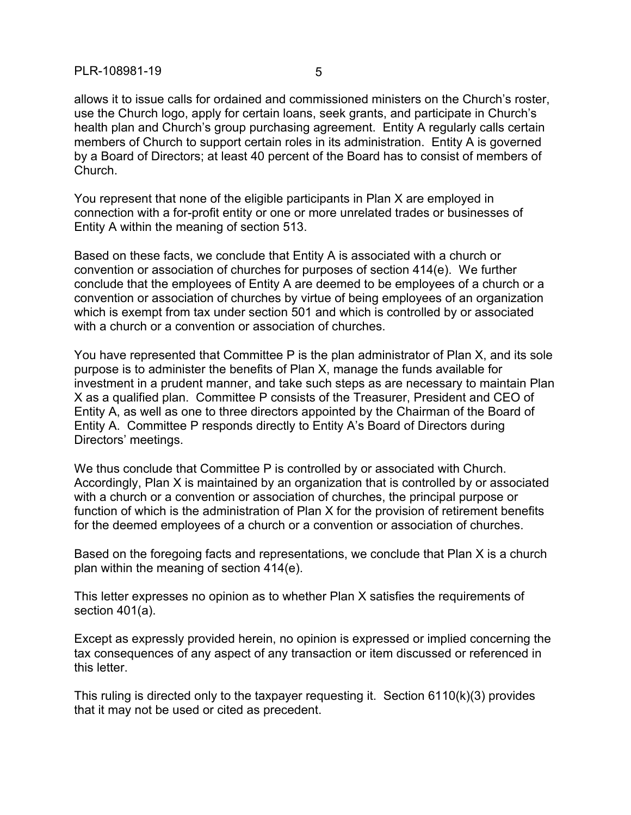allows it to issue calls for ordained and commissioned ministers on the Church's roster, use the Church logo, apply for certain loans, seek grants, and participate in Church's health plan and Church's group purchasing agreement. Entity A regularly calls certain members of Church to support certain roles in its administration. Entity A is governed by a Board of Directors; at least 40 percent of the Board has to consist of members of Church.

You represent that none of the eligible participants in Plan X are employed in connection with a for-profit entity or one or more unrelated trades or businesses of Entity A within the meaning of section 513.

Based on these facts, we conclude that Entity A is associated with a church or convention or association of churches for purposes of section 414(e). We further conclude that the employees of Entity A are deemed to be employees of a church or a convention or association of churches by virtue of being employees of an organization which is exempt from tax under section 501 and which is controlled by or associated with a church or a convention or association of churches.

You have represented that Committee P is the plan administrator of Plan X, and its sole purpose is to administer the benefits of Plan X, manage the funds available for investment in a prudent manner, and take such steps as are necessary to maintain Plan X as a qualified plan. Committee P consists of the Treasurer, President and CEO of Entity A, as well as one to three directors appointed by the Chairman of the Board of Entity A. Committee P responds directly to Entity A's Board of Directors during Directors' meetings.

We thus conclude that Committee P is controlled by or associated with Church. Accordingly, Plan X is maintained by an organization that is controlled by or associated with a church or a convention or association of churches, the principal purpose or function of which is the administration of Plan X for the provision of retirement benefits for the deemed employees of a church or a convention or association of churches.

Based on the foregoing facts and representations, we conclude that Plan X is a church plan within the meaning of section 414(e).

This letter expresses no opinion as to whether Plan X satisfies the requirements of section 401(a).

Except as expressly provided herein, no opinion is expressed or implied concerning the tax consequences of any aspect of any transaction or item discussed or referenced in this letter.

This ruling is directed only to the taxpayer requesting it. Section 6110(k)(3) provides that it may not be used or cited as precedent.